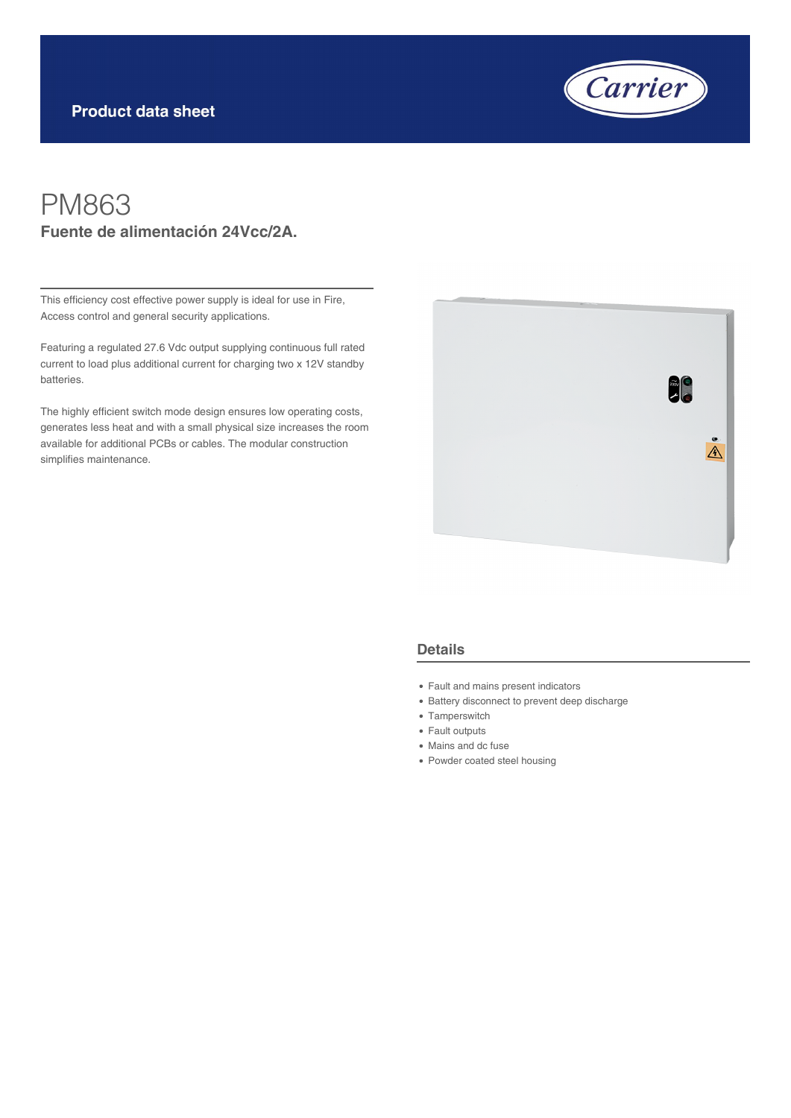

## PM863 **Fuente de alimentación 24Vcc/2A.**

This efficiency cost effective power supply is ideal for use in Fire, Access control and general security applications.

Featuring a regulated 27.6 Vdc output supplying continuous full rated current to load plus additional current for charging two x 12V standby batteries.

The highly efficient switch mode design ensures low operating costs, generates less heat and with a small physical size increases the room available for additional PCBs or cables. The modular construction simplifies maintenance.



## **Details**

- Fault and mains present indicators
- Battery disconnect to prevent deep discharge
- Tamperswitch
- Fault outputs
- Mains and dc fuse
- Powder coated steel housing